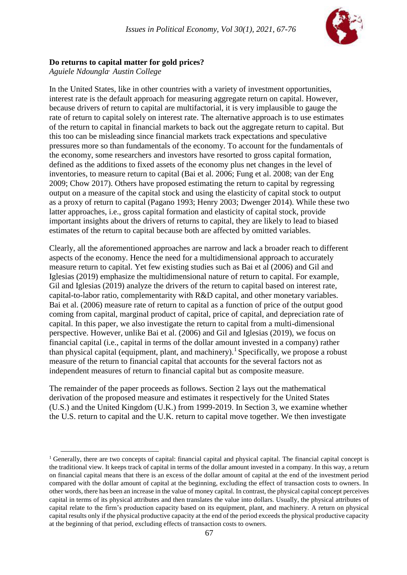

# **Do returns to capital matter for gold prices?**

*Aguiele Ndoungla, Austin College*

l

In the United States, like in other countries with a variety of investment opportunities, interest rate is the default approach for measuring aggregate return on capital. However, because drivers of return to capital are multifactorial, it is very implausible to gauge the rate of return to capital solely on interest rate. The alternative approach is to use estimates of the return to capital in financial markets to back out the aggregate return to capital. But this too can be misleading since financial markets track expectations and speculative pressures more so than fundamentals of the economy. To account for the fundamentals of the economy, some researchers and investors have resorted to gross capital formation, defined as the additions to fixed assets of the economy plus net changes in the level of inventories, to measure return to capital (Bai et al. 2006; Fung et al. 2008; van der Eng 2009; Chow 2017). Others have proposed estimating the return to capital by regressing output on a measure of the capital stock and using the elasticity of capital stock to output as a proxy of return to capital (Pagano 1993; Henry 2003; Dwenger 2014). While these two latter approaches, i.e., gross capital formation and elasticity of capital stock, provide important insights about the drivers of returns to capital, they are likely to lead to biased estimates of the return to capital because both are affected by omitted variables.

Clearly, all the aforementioned approaches are narrow and lack a broader reach to different aspects of the economy. Hence the need for a multidimensional approach to accurately measure return to capital. Yet few existing studies such as Bai et al (2006) and Gil and Iglesias (2019) emphasize the multidimensional nature of return to capital. For example, Gil and Iglesias (2019) analyze the drivers of the return to capital based on interest rate, capital-to-labor ratio, complementarity with R&D capital, and other monetary variables. Bai et al. (2006) measure rate of return to capital as a function of price of the output good coming from capital, marginal product of capital, price of capital, and depreciation rate of capital. In this paper, we also investigate the return to capital from a multi-dimensional perspective. However, unlike Bai et al. (2006) and Gil and Iglesias (2019), we focus on financial capital (i.e., capital in terms of the dollar amount invested in a company) rather than physical capital (equipment, plant, and machinery).<sup>1</sup> Specifically, we propose a robust measure of the return to financial capital that accounts for the several factors not as independent measures of return to financial capital but as composite measure.

The remainder of the paper proceeds as follows. Section 2 lays out the mathematical derivation of the proposed measure and estimates it respectively for the United States (U.S.) and the United Kingdom (U.K.) from 1999-2019. In Section 3, we examine whether the U.S. return to capital and the U.K. return to capital move together. We then investigate

<sup>&</sup>lt;sup>1</sup> Generally, there are two concepts of capital: financial capital and physical capital. The financial capital concept is the traditional view. It keeps track of capital in terms of the dollar amount invested in a company. In this way, a return on financial capital means that there is an excess of the dollar amount of capital at the end of the investment period compared with the dollar amount of capital at the beginning, excluding the effect of transaction costs to owners. In other words, there has been an increase in the value of money capital. In contrast, the physical capital concept perceives capital in terms of its physical attributes and then translates the value into dollars. Usually, the physical attributes of capital relate to the firm's production capacity based on its equipment, plant, and machinery. A return on physical capital results only if the physical productive capacity at the end of the period exceeds the physical productive capacity at the beginning of that period, excluding effects of transaction costs to owners.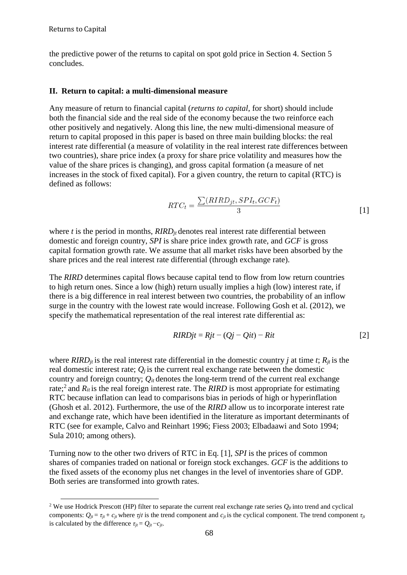l

the predictive power of the returns to capital on spot gold price in Section 4. Section 5 concludes.

#### **II. Return to capital: a multi-dimensional measure**

Any measure of return to financial capital (*returns to capital*, for short) should include both the financial side and the real side of the economy because the two reinforce each other positively and negatively. Along this line, the new multi-dimensional measure of return to capital proposed in this paper is based on three main building blocks: the real interest rate differential (a measure of volatility in the real interest rate differences between two countries), share price index (a proxy for share price volatility and measures how the value of the share prices is changing), and gross capital formation (a measure of net increases in the stock of fixed capital). For a given country, the return to capital (RTC) is defined as follows:

$$
RTC_t = \frac{\sum (RIRD_{jt}, SPI_t, GCF_t)}{3}
$$
 [1]

where  $t$  is the period in months,  $RIRD<sub>it</sub>$  denotes real interest rate differential between domestic and foreign country, *SPI* is share price index growth rate, and *GCF* is gross capital formation growth rate. We assume that all market risks have been absorbed by the share prices and the real interest rate differential (through exchange rate).

The *RIRD* determines capital flows because capital tend to flow from low return countries to high return ones. Since a low (high) return usually implies a high (low) interest rate, if there is a big difference in real interest between two countries, the probability of an inflow surge in the country with the lowest rate would increase. Following Gosh et al. (2012), we specify the mathematical representation of the real interest rate differential as:

$$
RIRDjt = Rjt - (Qj - Qit) - Rit
$$
\n<sup>[2]</sup>

where  $RIRD<sub>it</sub>$  is the real interest rate differential in the domestic country *j* at time *t*;  $R<sub>it</sub>$  is the real domestic interest rate;  $Q_i$  is the current real exchange rate between the domestic country and foreign country;  $Q_{it}$  denotes the long-term trend of the current real exchange rate;<sup>2</sup> and  $R_{it}$  is the real foreign interest rate. The *RIRD* is most appropriate for estimating RTC because inflation can lead to comparisons bias in periods of high or hyperinflation (Ghosh et al. 2012). Furthermore, the use of the *RIRD* allow us to incorporate interest rate and exchange rate, which have been identified in the literature as important determinants of RTC (see for example, Calvo and Reinhart 1996; Fiess 2003; Elbadaawi and Soto 1994; Sula 2010; among others).

Turning now to the other two drivers of RTC in Eq. [1], *SPI* is the prices of common shares of companies traded on national or foreign stock exchanges. *GCF* is the additions to the fixed assets of the economy plus net changes in the level of inventories share of GDP. Both series are transformed into growth rates.

<sup>&</sup>lt;sup>2</sup> We use Hodrick Prescott (HP) filter to separate the current real exchange rate series  $Q_{ij}$  into trend and cyclical components:  $Q_{it} = \tau_{it} + c_{it}$  where  $\tau_{it}$  is the trend component and  $c_{it}$  is the cyclical component. The trend component  $\tau_{it}$ is calculated by the difference  $\tau_{it} = Q_{it} - c_{it}$ .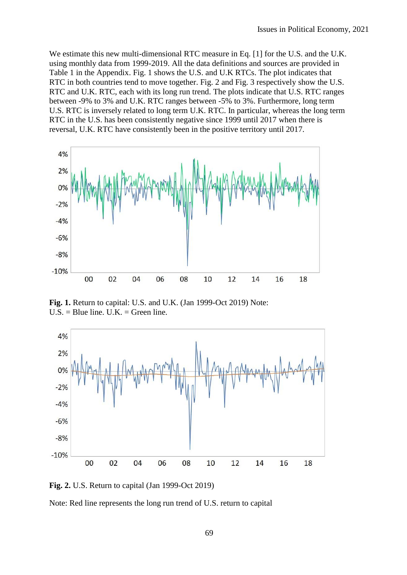We estimate this new multi-dimensional RTC measure in Eq. [1] for the U.S. and the U.K. using monthly data from 1999-2019. All the data definitions and sources are provided in Table 1 in the Appendix. Fig. 1 shows the U.S. and U.K RTCs. The plot indicates that RTC in both countries tend to move together. Fig. 2 and Fig. 3 respectively show the U.S. RTC and U.K. RTC, each with its long run trend. The plots indicate that U.S. RTC ranges between -9% to 3% and U.K. RTC ranges between -5% to 3%. Furthermore, long term U.S. RTC is inversely related to long term U.K. RTC. In particular, whereas the long term RTC in the U.S. has been consistently negative since 1999 until 2017 when there is reversal, U.K. RTC have consistently been in the positive territory until 2017.



**Fig. 1.** Return to capital: U.S. and U.K. (Jan 1999-Oct 2019) Note:  $U.S. = Blue line. U.K. = Green line.$ 



**Fig. 2.** U.S. Return to capital (Jan 1999-Oct 2019)

Note: Red line represents the long run trend of U.S. return to capital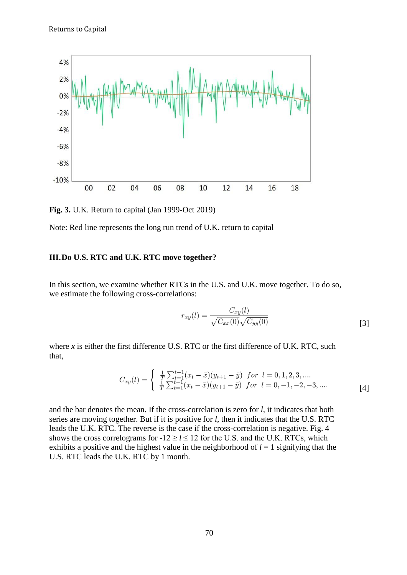

**Fig. 3.** U.K. Return to capital (Jan 1999-Oct 2019)

Note: Red line represents the long run trend of U.K. return to capital

### **III.Do U.S. RTC and U.K. RTC move together?**

In this section, we examine whether RTCs in the U.S. and U.K. move together. To do so, we estimate the following cross-correlations:

$$
r_{xy}(l) = \frac{C_{xy}(l)}{\sqrt{C_{xx}(0)}\sqrt{C_{yy}(0)}}
$$
\n
$$
\tag{3}
$$

where  $x$  is either the first difference U.S. RTC or the first difference of U.K. RTC, such that,

$$
C_{xy}(l) = \begin{cases} \frac{1}{T} \sum_{t=1}^{t-1} (x_t - \bar{x})(y_{t+1} - \bar{y}) & \text{for } l = 0, 1, 2, 3, ....\\ \frac{1}{T} \sum_{t=1}^{t-1} (x_t - \bar{x})(y_{t+1} - \bar{y}) & \text{for } l = 0, -1, -2, -3, .... \end{cases}
$$
[4]

and the bar denotes the mean. If the cross-correlation is zero for *l*, it indicates that both series are moving together. But if it is positive for *l*, then it indicates that the U.S. RTC leads the U.K. RTC. The reverse is the case if the cross-correlation is negative. Fig. 4 shows the cross correlograms for  $-12 \ge l \le 12$  for the U.S. and the U.K. RTCs, which exhibits a positive and the highest value in the neighborhood of  $l = 1$  signifying that the U.S. RTC leads the U.K. RTC by 1 month.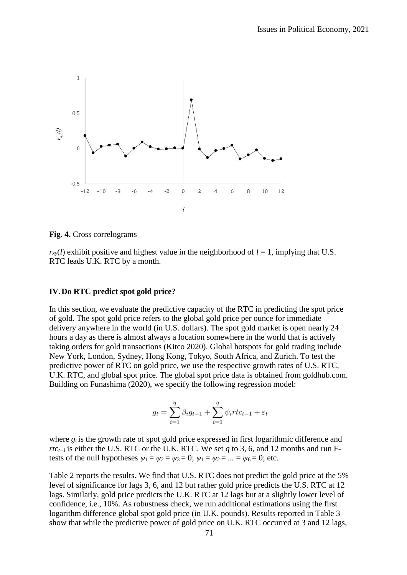

**Fig. 4.** Cross correlograms

 $r_{xy}(l)$  exhibit positive and highest value in the neighborhood of  $l = 1$ , implying that U.S. RTC leads U.K. RTC by a month.

#### **IV.Do RTC predict spot gold price?**

In this section, we evaluate the predictive capacity of the RTC in predicting the spot price of gold. The spot gold price refers to the global gold price per ounce for immediate delivery anywhere in the world (in U.S. dollars). The spot gold market is open nearly 24 hours a day as there is almost always a location somewhere in the world that is actively taking orders for gold transactions (Kitco 2020). Global hotspots for gold trading include New York, London, Sydney, Hong Kong, Tokyo, South Africa, and Zurich. To test the predictive power of RTC on gold price, we use the respective growth rates of U.S. RTC, U.K. RTC, and global spot price. The global spot price data is obtained from goldhub.com. Building on Funashima (2020), we specify the following regression model:

$$
g_t = \sum_{i=1}^q \beta_i g_{t-1} + \sum_{i=1}^q \psi_i r t c_{t-1} + \varepsilon_t
$$

where  $g_t$  is the growth rate of spot gold price expressed in first logarithmic difference and *rtc*<sub>*t*−1</sub> is either the U.S. RTC or the U.K. RTC. We set *q* to 3, 6, and 12 months and run Ftests of the null hypotheses  $\psi_1 = \psi_2 = \psi_3 = 0$ ;  $\psi_1 = \psi_2 = ... = \psi_6 = 0$ ; etc.

Table 2 reports the results. We find that U.S. RTC does not predict the gold price at the 5% level of significance for lags 3, 6, and 12 but rather gold price predicts the U.S. RTC at 12 lags. Similarly, gold price predicts the U.K. RTC at 12 lags but at a slightly lower level of confidence, i.e., 10%. As robustness check, we run additional estimations using the first logarithm difference global spot gold price (in U.K. pounds). Results reported in Table 3 show that while the predictive power of gold price on U.K. RTC occurred at 3 and 12 lags,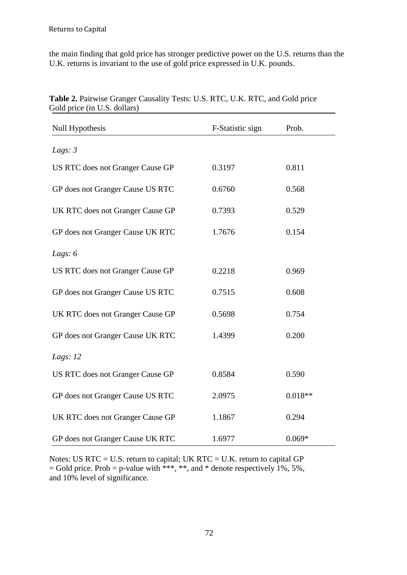the main finding that gold price has stronger predictive power on the U.S. returns than the U.K. returns is invariant to the use of gold price expressed in U.K. pounds.

| Null Hypothesis                  | F-Statistic sign | Prob.     |
|----------------------------------|------------------|-----------|
| Lags: $3$                        |                  |           |
| US RTC does not Granger Cause GP | 0.3197           | 0.811     |
| GP does not Granger Cause US RTC | 0.6760           | 0.568     |
| UK RTC does not Granger Cause GP | 0.7393           | 0.529     |
| GP does not Granger Cause UK RTC | 1.7676           | 0.154     |
| Lags: $6$                        |                  |           |
| US RTC does not Granger Cause GP | 0.2218           | 0.969     |
| GP does not Granger Cause US RTC | 0.7515           | 0.608     |
| UK RTC does not Granger Cause GP | 0.5698           | 0.754     |
| GP does not Granger Cause UK RTC | 1.4399           | 0.200     |
| Lags: $12$                       |                  |           |
| US RTC does not Granger Cause GP | 0.8584           | 0.590     |
| GP does not Granger Cause US RTC | 2.0975           | $0.018**$ |
| UK RTC does not Granger Cause GP | 1.1867           | 0.294     |
| GP does not Granger Cause UK RTC | 1.6977           | $0.069*$  |

**Table 2.** Pairwise Granger Causality Tests: U.S. RTC, U.K. RTC, and Gold price Gold price (in U.S. dollars)

Notes: US RTC = U.S. return to capital; UK RTC = U.K. return to capital GP  $=$  Gold price. Prob  $=$  p-value with \*\*\*, \*\*, and \* denote respectively 1%, 5%, and 10% level of significance.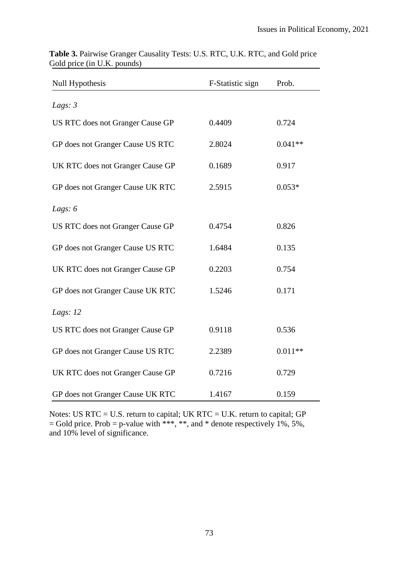| <b>Null Hypothesis</b>           | F-Statistic sign | Prob.     |
|----------------------------------|------------------|-----------|
| Lags: $3$                        |                  |           |
| US RTC does not Granger Cause GP | 0.4409           | 0.724     |
| GP does not Granger Cause US RTC | 2.8024           | $0.041**$ |
| UK RTC does not Granger Cause GP | 0.1689           | 0.917     |
| GP does not Granger Cause UK RTC | 2.5915           | $0.053*$  |
| Lags: $6$                        |                  |           |
| US RTC does not Granger Cause GP | 0.4754           | 0.826     |
| GP does not Granger Cause US RTC | 1.6484           | 0.135     |
| UK RTC does not Granger Cause GP | 0.2203           | 0.754     |
| GP does not Granger Cause UK RTC | 1.5246           | 0.171     |
| Lags: $12$                       |                  |           |
| US RTC does not Granger Cause GP | 0.9118           | 0.536     |
| GP does not Granger Cause US RTC | 2.2389           | $0.011**$ |
| UK RTC does not Granger Cause GP | 0.7216           | 0.729     |
| GP does not Granger Cause UK RTC | 1.4167           | 0.159     |

**Table 3.** Pairwise Granger Causality Tests: U.S. RTC, U.K. RTC, and Gold price Gold price (in U.K. pounds)

Notes: US RTC = U.S. return to capital; UK RTC = U.K. return to capital; GP  $=$  Gold price. Prob  $=$  p-value with \*\*\*, \*\*, and \* denote respectively 1%, 5%, and 10% level of significance.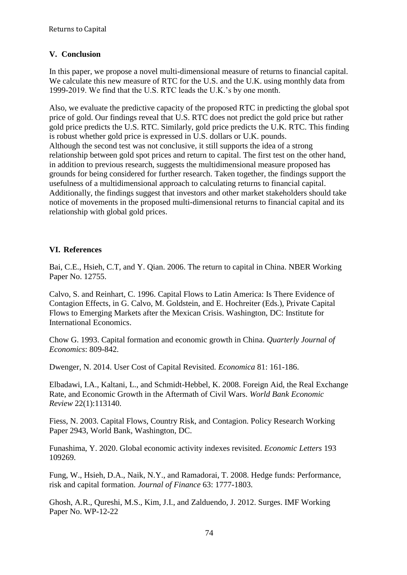# **V. Conclusion**

In this paper, we propose a novel multi-dimensional measure of returns to financial capital. We calculate this new measure of RTC for the U.S. and the U.K. using monthly data from 1999-2019. We find that the U.S. RTC leads the U.K.'s by one month.

Also, we evaluate the predictive capacity of the proposed RTC in predicting the global spot price of gold. Our findings reveal that U.S. RTC does not predict the gold price but rather gold price predicts the U.S. RTC. Similarly, gold price predicts the U.K. RTC. This finding is robust whether gold price is expressed in U.S. dollars or U.K. pounds. Although the second test was not conclusive, it still supports the idea of a strong relationship between gold spot prices and return to capital. The first test on the other hand, in addition to previous research, suggests the multidimensional measure proposed has grounds for being considered for further research. Taken together, the findings support the usefulness of a multidimensional approach to calculating returns to financial capital. Additionally, the findings suggest that investors and other market stakeholders should take notice of movements in the proposed multi-dimensional returns to financial capital and its relationship with global gold prices.

# **VI. References**

Bai, C.E., Hsieh, C.T, and Y. Qian. 2006. The return to capital in China. NBER Working Paper No. 12755.

Calvo, S. and Reinhart, C. 1996. Capital Flows to Latin America: Is There Evidence of Contagion Effects, in G. Calvo, M. Goldstein, and E. Hochreiter (Eds.), Private Capital Flows to Emerging Markets after the Mexican Crisis. Washington, DC: Institute for International Economics.

Chow G. 1993. Capital formation and economic growth in China. *Quarterly Journal of Economics*: 809-842.

Dwenger, N. 2014. User Cost of Capital Revisited. *Economica* 81: 161-186.

Elbadawi, I.A., Kaltani, L., and Schmidt-Hebbel, K. 2008. Foreign Aid, the Real Exchange Rate, and Economic Growth in the Aftermath of Civil Wars. *World Bank Economic Review* 22(1):113140.

Fiess, N. 2003. Capital Flows, Country Risk, and Contagion. Policy Research Working Paper 2943, World Bank, Washington, DC.

Funashima, Y. 2020. Global economic activity indexes revisited. *Economic Letters* 193 109269.

Fung, W., Hsieh, D.A., Naik, N.Y., and Ramadorai, T. 2008. Hedge funds: Performance, risk and capital formation. *Journal of Finance* 63: 1777-1803.

Ghosh, A.R., Qureshi, M.S., Kim, J.I., and Zalduendo, J. 2012. Surges. IMF Working Paper No. WP-12-22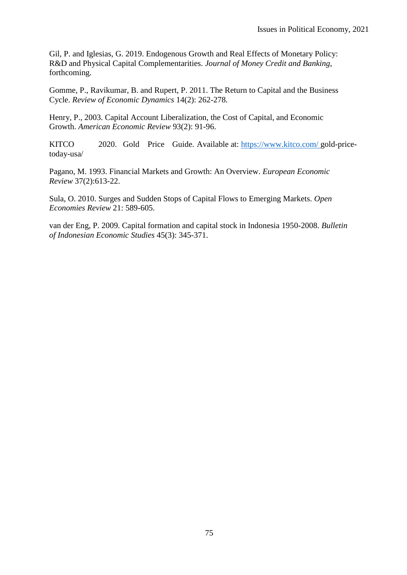Gil, P. and Iglesias, G. 2019. Endogenous Growth and Real Effects of Monetary Policy: R&D and Physical Capital Complementarities. *Journal of Money Credit and Banking*, forthcoming.

Gomme, P., Ravikumar, B. and Rupert, P. 2011. The Return to Capital and the Business Cycle. *Review of Economic Dynamics* 14(2): 262-278.

Henry, P., 2003. Capital Account Liberalization, the Cost of Capital, and Economic Growth. *American Economic Review* 93(2): 91-96.

KITCO 2020. Gold Price Guide. Available at: [https://www.kitco.com/ gold-price](https://www.kitco.com/)[today-usa/](https://www.kitco.com/gold-price-today-usa/)

Pagano, M. 1993. Financial Markets and Growth: An Overview. *European Economic Review* 37(2):613-22.

Sula, O. 2010. Surges and Sudden Stops of Capital Flows to Emerging Markets. *Open Economies Review* 21: 589-605.

van der Eng, P. 2009. Capital formation and capital stock in Indonesia 1950-2008. *Bulletin of Indonesian Economic Studies* 45(3): 345-371.